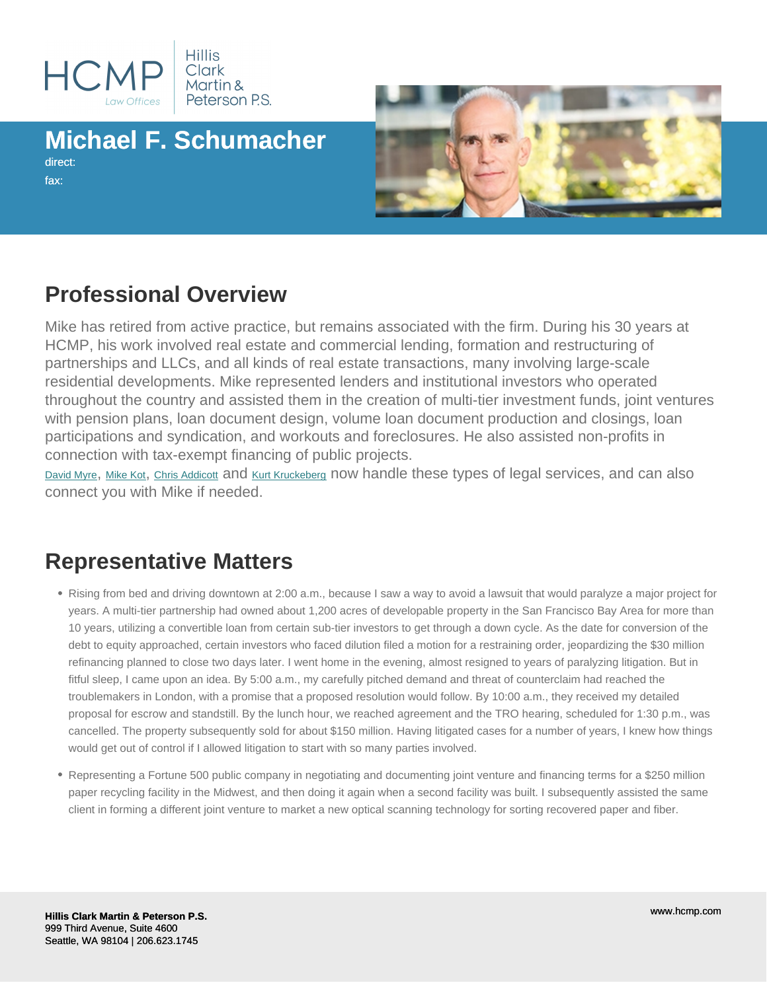# Michael F. Schumacher

direct: fax:

### Professional Overview

Mike has retired from active practice, but remains associated with the firm. During his 30 years at HCMP, his work involved real estate and commercial lending, formation and restructuring of partnerships and LLCs, and all kinds of real estate transactions, many involving large-scale residential developments. Mike represented lenders and institutional investors who operated throughout the country and assisted them in the creation of multi-tier investment funds, joint ventures with pension plans, loan document design, volume loan document production and closings, loan participations and syndication, and workouts and foreclosures. He also assisted non-profits in connection with tax-exempt financing of public projects.

[David Myre](/profile/attorneys/david-e-myre-jr-), [Mike Kot](/profile/attorneys/michael-n-kot-), [Chris Addicott](/profile/attorneys/d-christian-addicott-) and [Kurt Kruckeberg](/profile/attorneys/kurt-e-kruckeberg-) now handle these types of legal services, and can also connect you with Mike if needed.

#### Representative Matters

- Rising from bed and driving downtown at 2:00 a.m., because I saw a way to avoid a lawsuit that would paralyze a major project for years. A multi-tier partnership had owned about 1,200 acres of developable property in the San Francisco Bay Area for more than 10 years, utilizing a convertible loan from certain sub-tier investors to get through a down cycle. As the date for conversion of the debt to equity approached, certain investors who faced dilution filed a motion for a restraining order, jeopardizing the \$30 million refinancing planned to close two days later. I went home in the evening, almost resigned to years of paralyzing litigation. But in fitful sleep, I came upon an idea. By 5:00 a.m., my carefully pitched demand and threat of counterclaim had reached the troublemakers in London, with a promise that a proposed resolution would follow. By 10:00 a.m., they received my detailed proposal for escrow and standstill. By the lunch hour, we reached agreement and the TRO hearing, scheduled for 1:30 p.m., was cancelled. The property subsequently sold for about \$150 million. Having litigated cases for a number of years, I knew how things would get out of control if I allowed litigation to start with so many parties involved.
- Representing a Fortune 500 public company in negotiating and documenting joint venture and financing terms for a \$250 million paper recycling facility in the Midwest, and then doing it again when a second facility was built. I subsequently assisted the same client in forming a different joint venture to market a new optical scanning technology for sorting recovered paper and fiber.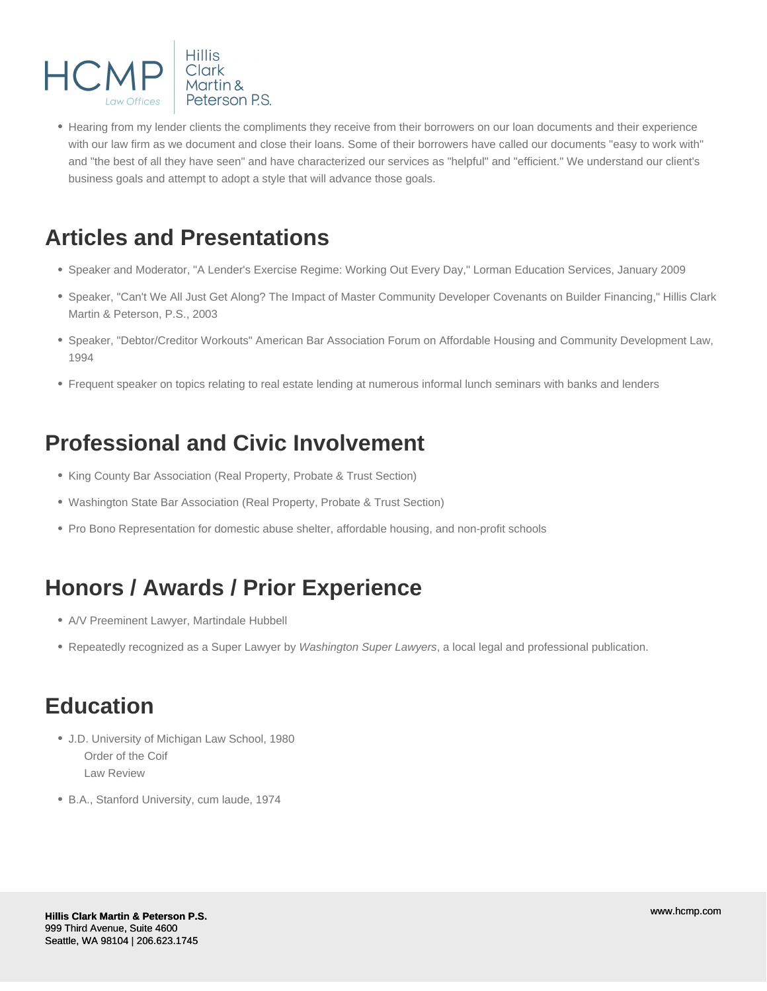

Hearing from my lender clients the compliments they receive from their borrowers on our loan documents and their experience with our law firm as we document and close their loans. Some of their borrowers have called our documents "easy to work with" and "the best of all they have seen" and have characterized our services as "helpful" and "efficient." We understand our client's business goals and attempt to adopt a style that will advance those goals.

### **Articles and Presentations**

- Speaker and Moderator, "A Lender's Exercise Regime: Working Out Every Day," Lorman Education Services, January 2009
- Speaker, "Can't We All Just Get Along? The Impact of Master Community Developer Covenants on Builder Financing," Hillis Clark Martin & Peterson, P.S., 2003
- Speaker, "Debtor/Creditor Workouts" American Bar Association Forum on Affordable Housing and Community Development Law, 1994
- Frequent speaker on topics relating to real estate lending at numerous informal lunch seminars with banks and lenders

# **Professional and Civic Involvement**

- King County Bar Association (Real Property, Probate & Trust Section)
- Washington State Bar Association (Real Property, Probate & Trust Section)
- Pro Bono Representation for domestic abuse shelter, affordable housing, and non-profit schools

# **Honors / Awards / Prior Experience**

- A/V Preeminent Lawyer, Martindale Hubbell
- Repeatedly recognized as a Super Lawyer by Washington Super Lawyers, a local legal and professional publication.

### **Education**

- J.D. University of Michigan Law School, 1980 Order of the Coif Law Review
- B.A., Stanford University, cum laude, 1974